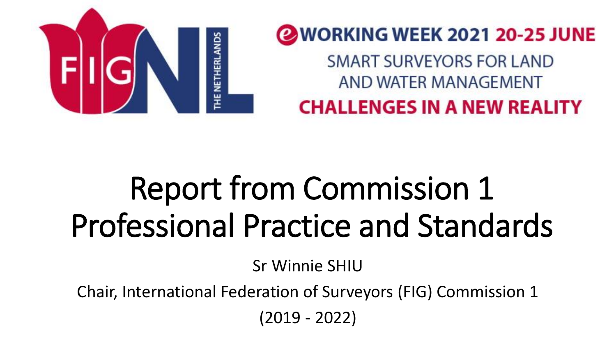

**SMART SURVEYORS FOR LAND** AND WATER MANAGEMENT

**CHALLENGES IN A NEW REALITY** 

## Report from Commission 1 Professional Practice and Standards

Sr Winnie SHIU

Chair, International Federation of Surveyors (FIG) Commission 1 (2019 - 2022)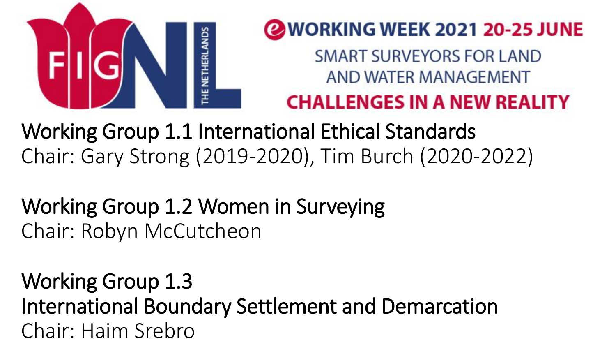

## **@WORKING WEEK 2021 20-25 JUNE SMART SURVEYORS FOR LAND** AND WATER MANAGEMENT

**CHALLENGES IN A NEW REALITY** 

#### Working Group 1.1 International Ethical Standards Chair: Gary Strong (2019-2020), Tim Burch (2020-2022)

## Working Group 1.2 Women in Surveying Chair: Robyn McCutcheon

Working Group 1.3 International Boundary Settlement and Demarcation Chair: Haim Srebro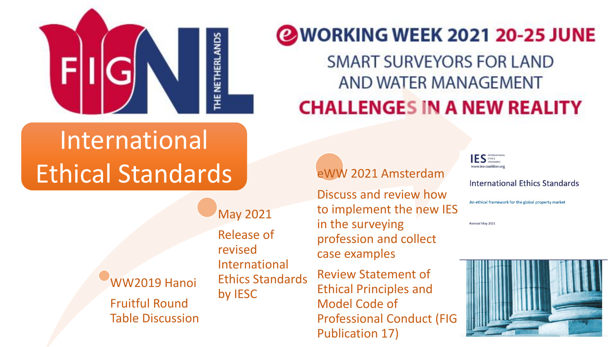

## International Ethical Standards

WW2019 Hanoi Fruitful Round Table Discussion May 2021 Release of revised International Ethics Standards by IESC

## **@WORKING WEEK 2021 20-25 JUNE**

**SMART SURVEYORS FOR LAND** AND WATER MANAGEMENT **CHALLENGES IN A NEW REALITY** 

eWW 2021 Amsterdam

Discuss and review how to implement the new IES in the surveying profession and collect case examples

Review Statement of Ethical Principles and Model Code of Professional Conduct (FIG Publication 17)

IES ETHICS www.ies-coalition.org

**International Ethics Standards** 

An ethical framework for the global property market

Revised May 2021

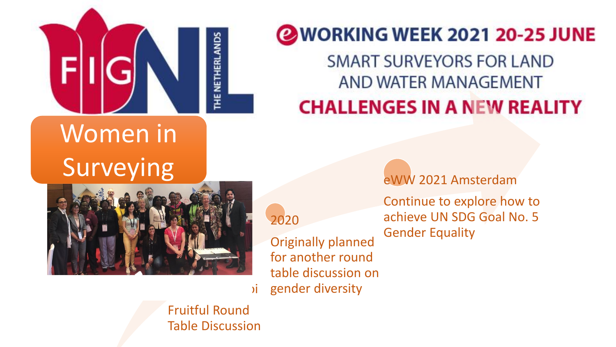

## Women in **Surveying**



W<sub>2019</sub> Hanois Hanois Hanois Hanois Hanois Hanois Hanois Hanois Hanois Hanois Hanois Hanois Hanois Hanois Hanois H<br>1919 Hanois Hanois Hanois Hanois Hanois Hanois Hanois Hanois Hanois Hanois Hanois Hanois Hanois Hanois Hano Fruitful Round Table Discussion 2020

Originally planned

for another round

table discussion on

gender diversity

**@WORKING WEEK 2021 20-25 JUNE** 

**SMART SURVEYORS FOR LAND** AND WATER MANAGEMENT **CHALLENGES IN A NEW REALITY** 

eWW 2021 Amsterdam

Continue to explore how to achieve UN SDG Goal No. 5 Gender Equality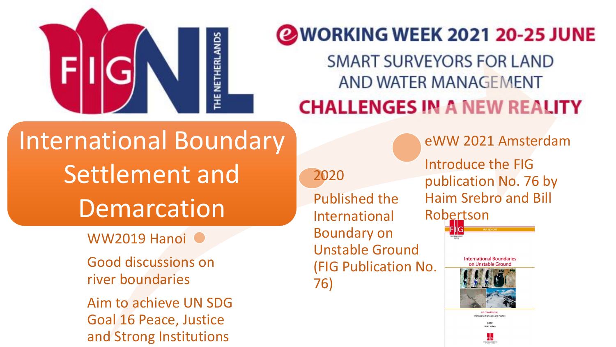

**SMART SURVEYORS FOR LAND** AND WATER MANAGEMENT **CHALLENGES IN A NEW REALITY** 

## International Boundary Settlement and **Demarcation**

WW2019 Hanoi<sup>C</sup>

Good discussions on river boundaries

Aim to achieve UN SDG Goal 16 Peace, Justice and Strong Institutions

2020

Published the International Boundary on Unstable Ground (FIG Publication No. 76)

eWW 2021 Amsterdam

Introduce the FIG publication No. 76 by Haim Srebro and Bill Robertson

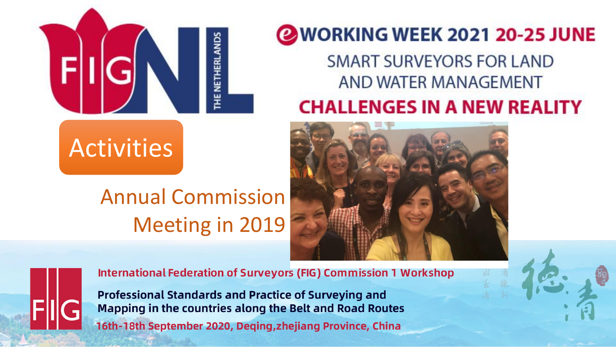

Activities

## **@WORKING WEEK 2021 20-25 JUNE**

#### **SMART SURVEYORS FOR LAND** AND WATER MANAGEMENT **CHALLENGES IN A NEW REALITY**

# Annual Commission Meeting in 2019



**International Federation of Surveyors (FIG) Commission 1 Workshop** 

**Professional Standards and Practice of Surveying and Mapping in the countries along the Belt and Road Routes** 16th-18th September 2020, Deging, zhejiang Province, China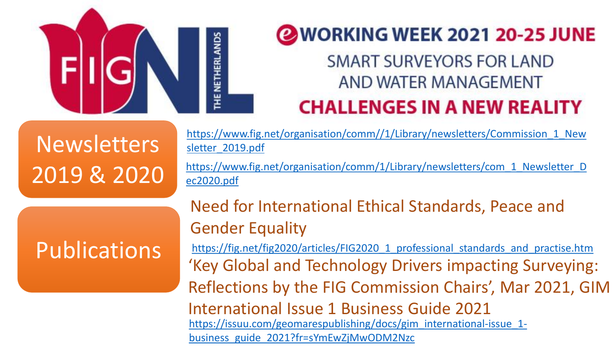

**SMART SURVEYORS FOR LAND** AND WATER MANAGEMENT

#### **CHALLENGES IN A NEW REALITY**

**Newsletters** 2019 & 2020 [https://www.fig.net/organisation/comm//1/Library/newsletters/Commission\\_1\\_New](https://www.fig.net/organisation/comm/1/Library/newsletters/Commission_1_Newsletter_2019.pdf) sletter\_2019.pdf

[https://www.fig.net/organisation/comm/1/Library/newsletters/com\\_1\\_Newsletter\\_D](https://www.fig.net/organisation/comm/1/Library/newsletters/com_1_Newsletter_Dec2020.pdf) ec2020.pdf

## Publications

Need for International Ethical Standards, Peace and Gender Equality

[https://fig.net/fig2020/articles/FIG2020\\_1\\_professional\\_standards\\_and\\_practise.htm](https://fig.net/fig2020/articles/FIG2020_1_professional_standards_and_practise.htm) [https://issuu.com/geomarespublishing/docs/gim\\_international-issue\\_1](https://issuu.com/geomarespublishing/docs/gim_international-issue_1-business_guide_2021?fr=sYmEwZjMwODM2Nzc) business\_guide\_2021?fr=sYmEwZjMwODM2Nzc 'Key Global and Technology Drivers impacting Surveying: Reflections by the FIG Commission Chairs', Mar 2021, GIM International Issue 1 Business Guide 2021